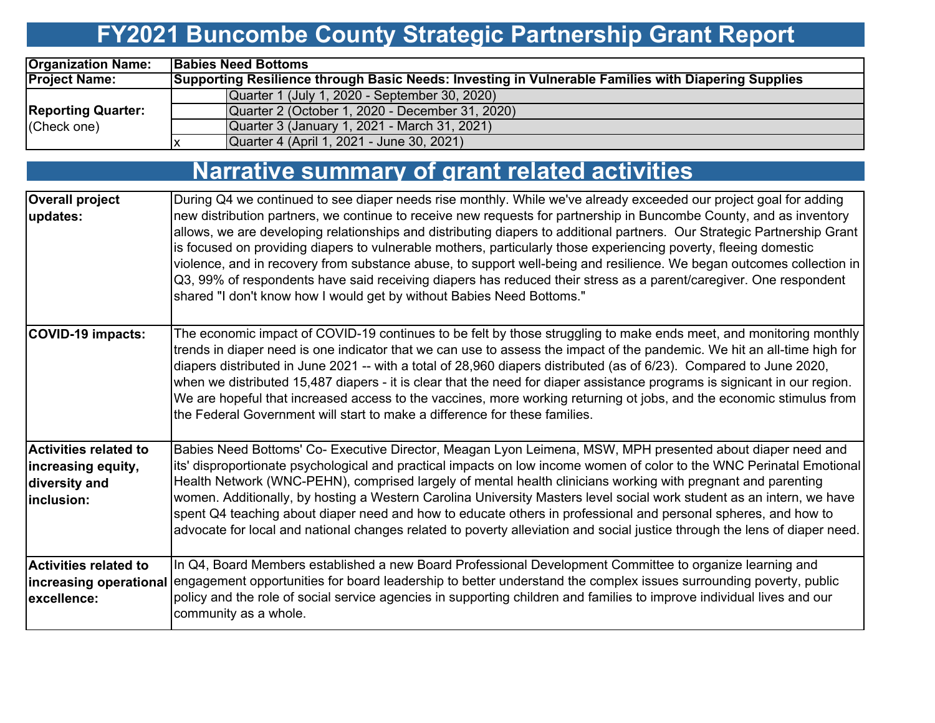# **FY2021 Buncombe County Strategic Partnership Grant Report**

| <b>Organization Name:</b> | <b>Babies Need Bottoms</b>                                                                                 |
|---------------------------|------------------------------------------------------------------------------------------------------------|
| <b>Project Name:</b>      | <b>Supporting Resilience through Basic Needs: Investing in Vulnerable Families with Diapering Supplies</b> |
|                           | Quarter 1 (July 1, 2020 - September 30, 2020)                                                              |
| <b>Reporting Quarter:</b> | Quarter 2 (October 1, 2020 - December 31, 2020)                                                            |
| $ $ (Check one)           | Quarter 3 (January 1, 2021 - March 31, 2021)                                                               |
|                           | Quarter 4 (April 1, 2021 - June 30, 2021)                                                                  |

|                                                                             | <b>Narrative summary of grant related activities</b>                                                                                                                                                                                                                                                                                                                                                                                                                                                                                                                                                                                                                                                                                                                                                            |
|-----------------------------------------------------------------------------|-----------------------------------------------------------------------------------------------------------------------------------------------------------------------------------------------------------------------------------------------------------------------------------------------------------------------------------------------------------------------------------------------------------------------------------------------------------------------------------------------------------------------------------------------------------------------------------------------------------------------------------------------------------------------------------------------------------------------------------------------------------------------------------------------------------------|
| <b>Overall project</b><br>updates:                                          | During Q4 we continued to see diaper needs rise monthly. While we've already exceeded our project goal for adding<br>new distribution partners, we continue to receive new requests for partnership in Buncombe County, and as inventory<br>allows, we are developing relationships and distributing diapers to additional partners. Our Strategic Partnership Grant<br>is focused on providing diapers to vulnerable mothers, particularly those experiencing poverty, fleeing domestic<br>violence, and in recovery from substance abuse, to support well-being and resilience. We began outcomes collection in<br>Q3, 99% of respondents have said receiving diapers has reduced their stress as a parent/caregiver. One respondent<br>shared "I don't know how I would get by without Babies Need Bottoms." |
| <b>COVID-19 impacts:</b>                                                    | The economic impact of COVID-19 continues to be felt by those struggling to make ends meet, and monitoring monthly<br>trends in diaper need is one indicator that we can use to assess the impact of the pandemic. We hit an all-time high for<br>diapers distributed in June 2021 -- with a total of 28,960 diapers distributed (as of 6/23). Compared to June 2020,<br>when we distributed 15,487 diapers - it is clear that the need for diaper assistance programs is signicant in our region.<br>We are hopeful that increased access to the vaccines, more working returning ot jobs, and the economic stimulus from<br>the Federal Government will start to make a difference for these families.                                                                                                        |
| Activities related to<br>increasing equity,<br>diversity and<br>linclusion: | Babies Need Bottoms' Co- Executive Director, Meagan Lyon Leimena, MSW, MPH presented about diaper need and<br>its' disproportionate psychological and practical impacts on low income women of color to the WNC Perinatal Emotional<br>Health Network (WNC-PEHN), comprised largely of mental health clinicians working with pregnant and parenting<br>women. Additionally, by hosting a Western Carolina University Masters level social work student as an intern, we have<br>spent Q4 teaching about diaper need and how to educate others in professional and personal spheres, and how to<br>advocate for local and national changes related to poverty alleviation and social justice through the lens of diaper need.                                                                                    |
| <b>Activities related to</b><br>excellence:                                 | In Q4, Board Members established a new Board Professional Development Committee to organize learning and<br>increasing operational engagement opportunities for board leadership to better understand the complex issues surrounding poverty, public<br>policy and the role of social service agencies in supporting children and families to improve individual lives and our<br>community as a whole.                                                                                                                                                                                                                                                                                                                                                                                                         |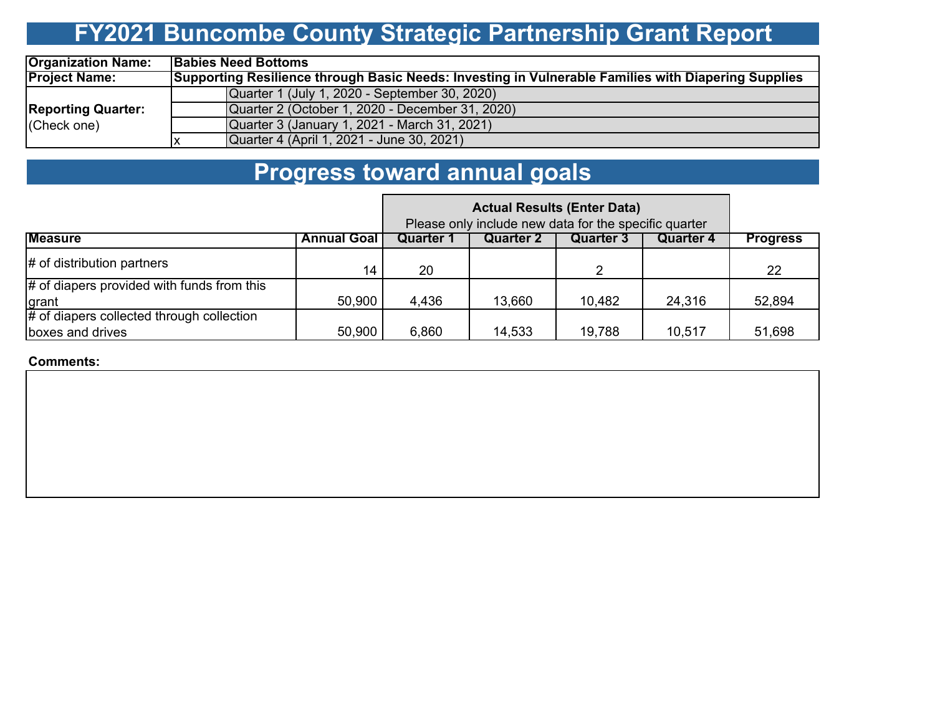### **FY2021 Buncombe County Strategic Partnership Grant Report**

| <b>Organization Name:</b>                | <b>Babies Need Bottoms</b>                                                                          |  |  |  |  |  |  |
|------------------------------------------|-----------------------------------------------------------------------------------------------------|--|--|--|--|--|--|
| <b>Project Name:</b>                     | Supporting Resilience through Basic Needs: Investing in Vulnerable Families with Diapering Supplies |  |  |  |  |  |  |
|                                          | Quarter 1 (July 1, 2020 - September 30, 2020)                                                       |  |  |  |  |  |  |
| <b>Reporting Quarter:</b><br>(Check one) | Quarter 2 (October 1, 2020 - December 31, 2020)                                                     |  |  |  |  |  |  |
|                                          | Quarter 3 (January 1, 2021 - March 31, 2021)                                                        |  |  |  |  |  |  |
|                                          | Quarter 4 (April 1, 2021 - June 30, 2021)                                                           |  |  |  |  |  |  |

### **Progress toward annual goals**

|                                              |                    | Please only include new data for the specific quarter |           |           |                  |                 |
|----------------------------------------------|--------------------|-------------------------------------------------------|-----------|-----------|------------------|-----------------|
| <b>Measure</b>                               | <b>Annual Goal</b> | Quarter 1                                             | Quarter 2 | Quarter 3 | <b>Quarter 4</b> | <b>Progress</b> |
| $\sharp$ of distribution partners            | 14                 | 20                                                    |           | າ         |                  | 22              |
| $#$ of diapers provided with funds from this |                    |                                                       |           |           |                  |                 |
| grant                                        | 50,900             | 4,436                                                 | 13,660    | 10,482    | 24,316           | 52,894          |
| # of diapers collected through collection    |                    |                                                       |           |           |                  |                 |
| boxes and drives                             | 50,900             | 6,860                                                 | 14,533    | 19,788    | 10,517           | 51,698          |

#### **Comments:**